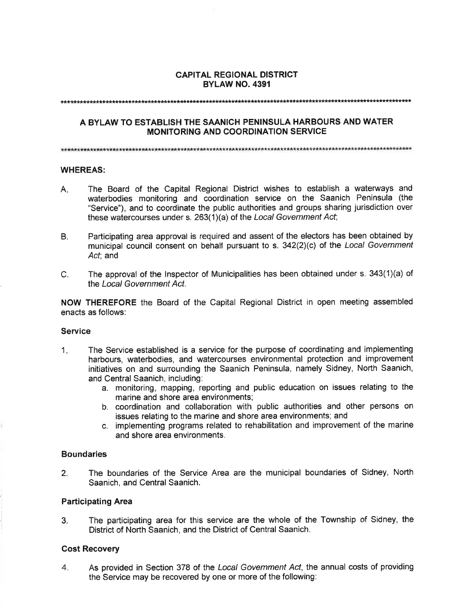### **CAPITAL REGIONAL DISTRICT BYLAW NO. 4391**

# A BYLAW TO ESTABLISH THE SAANICH PENINSULA HARBOURS AND WATER **MONITORING AND COORDINATION SERVICE**

### **WHEREAS:**

- The Board of the Capital Regional District wishes to establish a waterways and A. waterbodies monitoring and coordination service on the Saanich Peninsula (the "Service"), and to coordinate the public authorities and groups sharing jurisdiction over these watercourses under s. 263(1)(a) of the Local Government Act;
- Participating area approval is required and assent of the electors has been obtained by  $B<sub>1</sub>$ municipal council consent on behalf pursuant to s. 342(2)(c) of the Local Government Act; and
- $C_{1}$ The approval of the Inspector of Municipalities has been obtained under s.  $343(1)(a)$  of the Local Government Act.

NOW THEREFORE the Board of the Capital Regional District in open meeting assembled enacts as follows:

### **Service**

- The Service established is a service for the purpose of coordinating and implementing  $1<sub>1</sub>$ harbours, waterbodies, and watercourses environmental protection and improvement initiatives on and surrounding the Saanich Peninsula, namely Sidney, North Saanich, and Central Saanich, including:
	- a. monitoring, mapping, reporting and public education on issues relating to the marine and shore area environments;
	- b. coordination and collaboration with public authorities and other persons on issues relating to the marine and shore area environments; and
	- c. implementing programs related to rehabilitation and improvement of the marine and shore area environments.

# **Boundaries**

The boundaries of the Service Area are the municipal boundaries of Sidney, North  $2.$ Saanich, and Central Saanich.

# **Participating Area**

The participating area for this service are the whole of the Township of Sidney, the 3. District of North Saanich, and the District of Central Saanich.

### **Cost Recovery**

As provided in Section 378 of the Local Government Act, the annual costs of providing  $\mathbf{4}$ the Service may be recovered by one or more of the following: